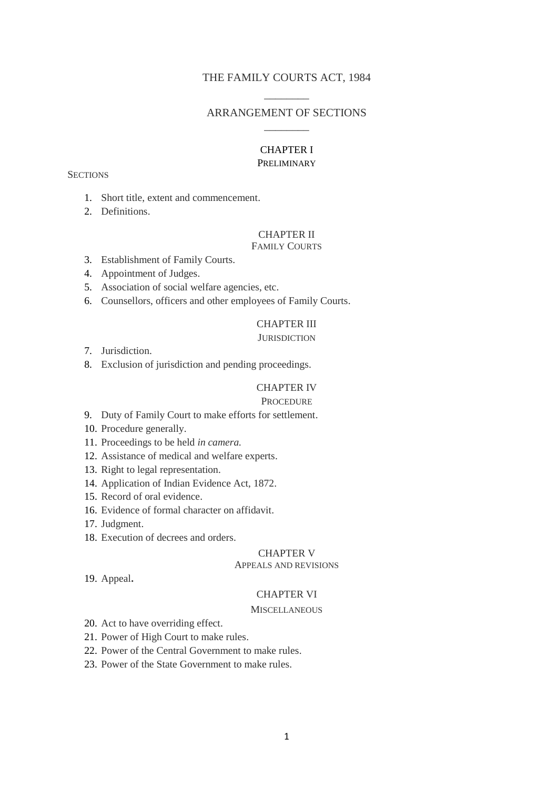## THE FAMILY COURTS ACT, 1984  $\overline{\phantom{a}}$

## ARRANGEMENT OF SECTIONS  $\overline{\phantom{a}}$

# CHAPTER I

## PRELIMINARY

#### **SECTIONS**

- 1. Short title, extent and commencement.
- 2. Definitions.

## CHAPTER II

## FAMILY COURTS

- 3. Establishment of Family Courts.
- 4. Appointment of Judges.
- 5. Association of social welfare agencies, etc.
- 6. Counsellors, officers and other employees of Family Courts.

## CHAPTER III

## **JURISDICTION**

- 7. Jurisdiction.
- 8. Exclusion of jurisdiction and pending proceedings.

## CHAPTER IV

#### **PROCEDURE**

- 9. Duty of Family Court to make efforts for settlement.
- 10. Procedure generally.
- 11. Proceedings to be held *in camera.*
- 12. Assistance of medical and welfare experts.
- 13. Right to legal representation.
- 14. Application of Indian Evidence Act, 1872.
- 15. Record of oral evidence.
- 16. Evidence of formal character on affidavit.
- 17. Judgment.
- 18. Execution of decrees and orders.

## CHAPTER V

#### APPEALS AND REVISIONS

19. Appeal**.**

#### CHAPTER VI

#### **MISCELLANEOUS**

- 20. Act to have overriding effect.
- 21. Power of High Court to make rules.
- 22. Power of the Central Government to make rules.
- 23. Power of the State Government to make rules.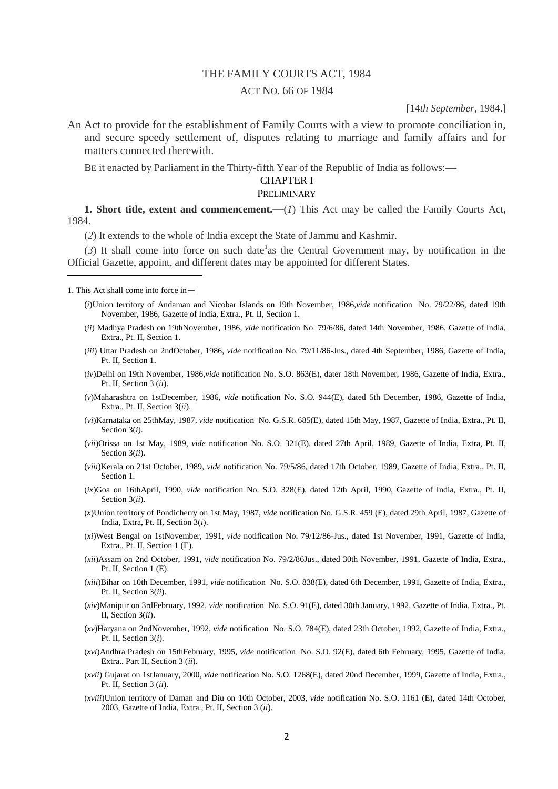## THE FAMILY COURTS ACT, 1984

#### ACT NO. 66 OF 1984

### [14*th September*, 1984.]

An Act to provide for the establishment of Family Courts with a view to promote conciliation in, and secure speedy settlement of, disputes relating to marriage and family affairs and for matters connected therewith.

BE it enacted by Parliament in the Thirty-fifth Year of the Republic of India as follows:**—**

## CHAPTER I

PRELIMINARY

**1. Short title, extent and commencement.** (*1*) This Act may be called the Family Courts Act, 1984.

(*2*) It extends to the whole of India except the State of Jammu and Kashmir.

 $(3)$  It shall come into force on such date<sup>1</sup> as the Central Government may, by notification in the Official Gazette, appoint, and different dates may be appointed for different States.

1. This Act shall come into force in—

1

- (*i*)Union territory of Andaman and Nicobar Islands on 19th November, 1986,*vide* notification No. 79/22/86, dated 19th November, 1986, Gazette of India, Extra., Pt. II, Section 1.
- (*ii*) Madhya Pradesh on 19thNovember, 1986, *vide* notification No. 79/6/86, dated 14th November, 1986, Gazette of India, Extra., Pt. II, Section 1.
- (*iii*) Uttar Pradesh on 2ndOctober, 1986, *vide* notification No. 79/11/86-Jus., dated 4th September, 1986, Gazette of India, Pt. II, Section 1.
- (*iv*)Delhi on 19th November, 1986,*vide* notification No. S.O. 863(E), dater 18th November, 1986, Gazette of India, Extra., Pt. II, Section 3 (*ii*).
- (*v*)Maharashtra on 1stDecember, 1986, *vide* notification No. S.O. 944(E), dated 5th December, 1986, Gazette of India, Extra., Pt. II, Section 3(*ii*).
- (*vi*)Karnataka on 25thMay, 1987, *vide* notification No. G.S.R. 685(E), dated 15th May, 1987, Gazette of India, Extra., Pt. II, Section 3(*i*).
- (*vii*)Orissa on 1st May, 1989, *vide* notification No. S.O. 321(E), dated 27th April, 1989, Gazette of India, Extra, Pt. II, Section 3(*ii*).
- (*viii*)Kerala on 21st October, 1989, *vide* notification No. 79/5/86, dated 17th October, 1989, Gazette of India, Extra., Pt. II, Section 1.
- (*ix*)Goa on 16thApril, 1990, *vide* notification No. S.O. 328(E), dated 12th April, 1990, Gazette of India, Extra., Pt. II, Section 3(*ii*).
- (*x*)Union territory of Pondicherry on 1st May, 1987, *vide* notification No. G.S.R. 459 (E), dated 29th April, 1987, Gazette of India, Extra, Pt. II, Section 3(*i*).
- (*xi*)West Bengal on 1stNovember, 1991, *vide* notification No. 79/12/86-Jus., dated 1st November, 1991, Gazette of India, Extra., Pt. II, Section 1 (E).
- (*xii*)Assam on 2nd October, 1991, *vide* notification No. 79/2/86Jus., dated 30th November, 1991, Gazette of India, Extra., Pt. II, Section 1 (E).
- (*xiii*)Bihar on 10th December, 1991, *vide* notification No. S.O. 838(E), dated 6th December, 1991, Gazette of India, Extra., Pt. II, Section 3(*ii*).
- (*xiv*)Manipur on 3rdFebruary, 1992, *vide* notification No. S.O. 91(E), dated 30th January, 1992, Gazette of India, Extra., Pt. II, Section 3(*ii*).
- (*xv*)Haryana on 2ndNovember, 1992, *vide* notification No. S.O. 784(E), dated 23th October, 1992, Gazette of India, Extra., Pt. II, Section 3(*i*).
- (*xvi*)Andhra Pradesh on 15thFebruary, 1995, *vide* notification No. S.O. 92(E), dated 6th February, 1995, Gazette of India, Extra.. Part II, Section 3 (*ii*).
- (*xvii*) Gujarat on 1stJanuary, 2000, *vide* notification No. S.O. 1268(E), dated 20nd December, 1999, Gazette of India, Extra., Pt. II, Section 3 (*ii*).
- (*xviii*)Union territory of Daman and Diu on 10th October, 2003, *vide* notification No. S.O. 1161 (E), dated 14th October, 2003, Gazette of India, Extra., Pt. II, Section 3 (*ii*).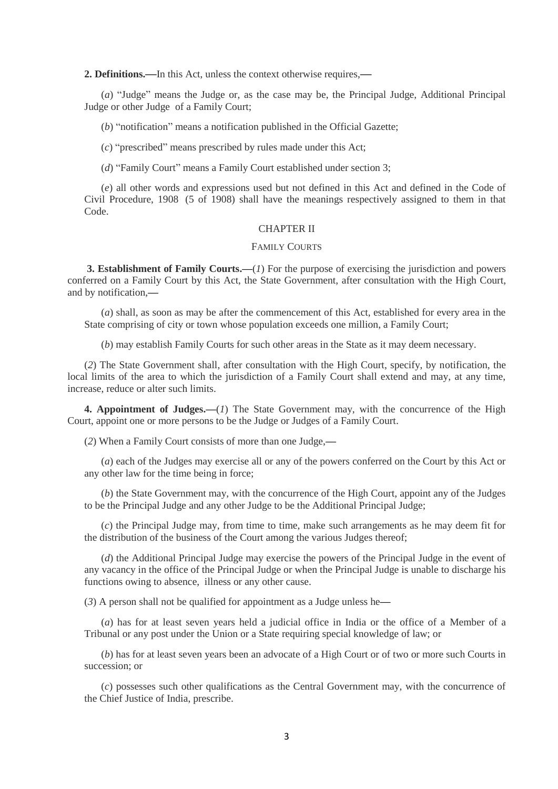**2. Definitions.—**In this Act, unless the context otherwise requires,**—**

(*a*) "Judge" means the Judge or, as the case may be, the Principal Judge, Additional Principal Judge or other Judge of a Family Court;

(*b*) "notification" means a notification published in the Official Gazette;

(*c*) "prescribed" means prescribed by rules made under this Act;

(*d*) "Family Court" means a Family Court established under section 3;

(*e*) all other words and expressions used but not defined in this Act and defined in the Code of Civil Procedure, 1908 (5 of 1908) shall have the meanings respectively assigned to them in that Code.

#### CHAPTER II

#### FAMILY COURTS

**3. Establishment of Family Courts.—**(*1*) For the purpose of exercising the jurisdiction and powers conferred on a Family Court by this Act, the State Government, after consultation with the High Court, and by notification,**—**

(*a*) shall, as soon as may be after the commencement of this Act, established for every area in the State comprising of city or town whose population exceeds one million, a Family Court;

(*b*) may establish Family Courts for such other areas in the State as it may deem necessary.

(*2*) The State Government shall, after consultation with the High Court, specify, by notification, the local limits of the area to which the jurisdiction of a Family Court shall extend and may, at any time, increase, reduce or alter such limits.

**4. Appointment of Judges.—(***1***)** The State Government may, with the concurrence of the High Court, appoint one or more persons to be the Judge or Judges of a Family Court.

(*2*) When a Family Court consists of more than one Judge,**—**

(*a*) each of the Judges may exercise all or any of the powers conferred on the Court by this Act or any other law for the time being in force;

(*b*) the State Government may, with the concurrence of the High Court, appoint any of the Judges to be the Principal Judge and any other Judge to be the Additional Principal Judge;

(*c*) the Principal Judge may, from time to time, make such arrangements as he may deem fit for the distribution of the business of the Court among the various Judges thereof;

(*d*) the Additional Principal Judge may exercise the powers of the Principal Judge in the event of any vacancy in the office of the Principal Judge or when the Principal Judge is unable to discharge his functions owing to absence, illness or any other cause.

(*3*) A person shall not be qualified for appointment as a Judge unless he**—**

(*a*) has for at least seven years held a judicial office in India or the office of a Member of a Tribunal or any post under the Union or a State requiring special knowledge of law; or

(*b*) has for at least seven years been an advocate of a High Court or of two or more such Courts in succession; or

(*c*) possesses such other qualifications as the Central Government may, with the concurrence of the Chief Justice of India, prescribe.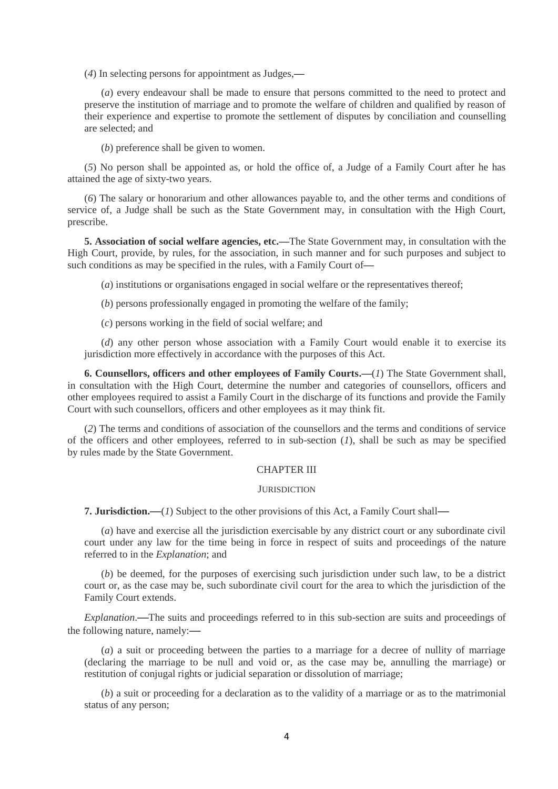(*4*) In selecting persons for appointment as Judges,**—**

(*a*) every endeavour shall be made to ensure that persons committed to the need to protect and preserve the institution of marriage and to promote the welfare of children and qualified by reason of their experience and expertise to promote the settlement of disputes by conciliation and counselling are selected; and

(*b*) preference shall be given to women.

(*5*) No person shall be appointed as, or hold the office of, a Judge of a Family Court after he has attained the age of sixty-two years.

(*6*) The salary or honorarium and other allowances payable to, and the other terms and conditions of service of, a Judge shall be such as the State Government may, in consultation with the High Court, prescribe.

**5. Association of social welfare agencies, etc.—**The State Government may, in consultation with the High Court, provide, by rules, for the association, in such manner and for such purposes and subject to such conditions as may be specified in the rules, with a Family Court of**—**

(*a*) institutions or organisations engaged in social welfare or the representatives thereof;

(*b*) persons professionally engaged in promoting the welfare of the family;

(*c*) persons working in the field of social welfare; and

(*d*) any other person whose association with a Family Court would enable it to exercise its jurisdiction more effectively in accordance with the purposes of this Act.

**6. Counsellors, officers and other employees of Family Courts.—**(*1*) The State Government shall, in consultation with the High Court, determine the number and categories of counsellors, officers and other employees required to assist a Family Court in the discharge of its functions and provide the Family Court with such counsellors, officers and other employees as it may think fit.

(*2*) The terms and conditions of association of the counsellors and the terms and conditions of service of the officers and other employees, referred to in sub-section (*1*), shall be such as may be specified by rules made by the State Government.

#### CHAPTER III

#### **JURISDICTION**

**7. Jurisdiction.—**(*1*) Subject to the other provisions of this Act, a Family Court shall**—**

(*a*) have and exercise all the jurisdiction exercisable by any district court or any subordinate civil court under any law for the time being in force in respect of suits and proceedings of the nature referred to in the *Explanation*; and

(*b*) be deemed, for the purposes of exercising such jurisdiction under such law, to be a district court or, as the case may be, such subordinate civil court for the area to which the jurisdiction of the Family Court extends.

*Explanation*.**—**The suits and proceedings referred to in this sub-section are suits and proceedings of the following nature, namely:**—**

(*a*) a suit or proceeding between the parties to a marriage for a decree of nullity of marriage (declaring the marriage to be null and void or, as the case may be, annulling the marriage) or restitution of conjugal rights or judicial separation or dissolution of marriage;

(*b*) a suit or proceeding for a declaration as to the validity of a marriage or as to the matrimonial status of any person;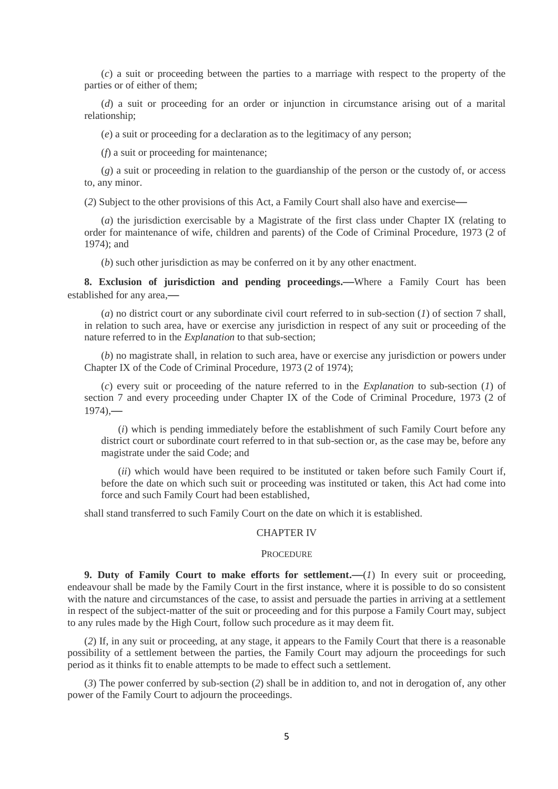(*c*) a suit or proceeding between the parties to a marriage with respect to the property of the parties or of either of them;

(*d*) a suit or proceeding for an order or injunction in circumstance arising out of a marital relationship;

(*e*) a suit or proceeding for a declaration as to the legitimacy of any person;

(*f*) a suit or proceeding for maintenance;

(*g*) a suit or proceeding in relation to the guardianship of the person or the custody of, or access to, any minor.

(*2*) Subject to the other provisions of this Act, a Family Court shall also have and exercise**—**

(*a*) the jurisdiction exercisable by a Magistrate of the first class under Chapter IX (relating to order for maintenance of wife, children and parents) of the Code of Criminal Procedure, 1973 (2 of 1974); and

(*b*) such other jurisdiction as may be conferred on it by any other enactment.

**8. Exclusion of jurisdiction and pending proceedings.—**Where a Family Court has been established for any area,**—**

(*a*) no district court or any subordinate civil court referred to in sub-section (*1*) of section 7 shall, in relation to such area, have or exercise any jurisdiction in respect of any suit or proceeding of the nature referred to in the *Explanation* to that sub-section;

(*b*) no magistrate shall, in relation to such area, have or exercise any jurisdiction or powers under Chapter IX of the Code of Criminal Procedure, 1973 (2 of 1974);

(*c*) every suit or proceeding of the nature referred to in the *Explanation* to sub-section (*1*) of section 7 and every proceeding under Chapter IX of the Code of Criminal Procedure, 1973 (2 of 1974),**—**

(*i*) which is pending immediately before the establishment of such Family Court before any district court or subordinate court referred to in that sub-section or, as the case may be, before any magistrate under the said Code; and

(*ii*) which would have been required to be instituted or taken before such Family Court if, before the date on which such suit or proceeding was instituted or taken, this Act had come into force and such Family Court had been established,

shall stand transferred to such Family Court on the date on which it is established.

### CHAPTER IV

#### **PROCEDURE**

**9. Duty of Family Court to make efforts for settlement.—**(*1*) In every suit or proceeding, endeavour shall be made by the Family Court in the first instance, where it is possible to do so consistent with the nature and circumstances of the case, to assist and persuade the parties in arriving at a settlement in respect of the subject-matter of the suit or proceeding and for this purpose a Family Court may, subject to any rules made by the High Court, follow such procedure as it may deem fit.

(*2*) If, in any suit or proceeding, at any stage, it appears to the Family Court that there is a reasonable possibility of a settlement between the parties, the Family Court may adjourn the proceedings for such period as it thinks fit to enable attempts to be made to effect such a settlement.

(*3*) The power conferred by sub-section (*2*) shall be in addition to, and not in derogation of, any other power of the Family Court to adjourn the proceedings.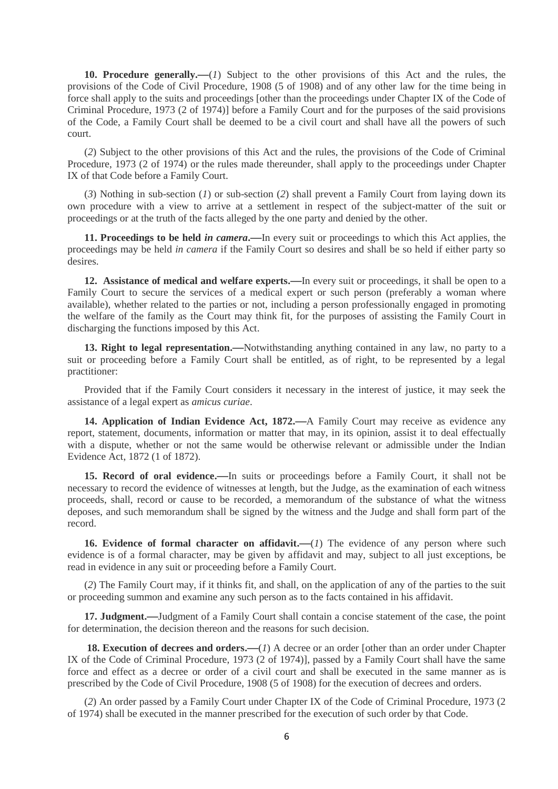**10. Procedure generally.—**(*1*) Subject to the other provisions of this Act and the rules, the provisions of the Code of Civil Procedure, 1908 (5 of 1908) and of any other law for the time being in force shall apply to the suits and proceedings [other than the proceedings under Chapter IX of the Code of Criminal Procedure, 1973 (2 of 1974)] before a Family Court and for the purposes of the said provisions of the Code, a Family Court shall be deemed to be a civil court and shall have all the powers of such court.

(*2*) Subject to the other provisions of this Act and the rules, the provisions of the Code of Criminal Procedure, 1973 (2 of 1974) or the rules made thereunder, shall apply to the proceedings under Chapter IX of that Code before a Family Court.

(*3*) Nothing in sub-section (*1*) or sub-section (*2*) shall prevent a Family Court from laying down its own procedure with a view to arrive at a settlement in respect of the subject-matter of the suit or proceedings or at the truth of the facts alleged by the one party and denied by the other.

**11. Proceedings to be held** *in camera***.—**In every suit or proceedings to which this Act applies, the proceedings may be held *in camera* if the Family Court so desires and shall be so held if either party so desires.

**12. Assistance of medical and welfare experts.—**In every suit or proceedings, it shall be open to a Family Court to secure the services of a medical expert or such person (preferably a woman where available), whether related to the parties or not, including a person professionally engaged in promoting the welfare of the family as the Court may think fit, for the purposes of assisting the Family Court in discharging the functions imposed by this Act.

**13. Right to legal representation.—**Notwithstanding anything contained in any law, no party to a suit or proceeding before a Family Court shall be entitled, as of right, to be represented by a legal practitioner:

Provided that if the Family Court considers it necessary in the interest of justice, it may seek the assistance of a legal expert as *amicus curiae*.

**14. Application of Indian Evidence Act, 1872.—**A Family Court may receive as evidence any report, statement, documents, information or matter that may, in its opinion, assist it to deal effectually with a dispute, whether or not the same would be otherwise relevant or admissible under the Indian Evidence Act, 1872 (1 of 1872).

**15. Record of oral evidence.—**In suits or proceedings before a Family Court, it shall not be necessary to record the evidence of witnesses at length, but the Judge, as the examination of each witness proceeds, shall, record or cause to be recorded, a memorandum of the substance of what the witness deposes, and such memorandum shall be signed by the witness and the Judge and shall form part of the record.

**16.** Evidence of formal character on affidavit.—(1) The evidence of any person where such evidence is of a formal character, may be given by affidavit and may, subject to all just exceptions, be read in evidence in any suit or proceeding before a Family Court.

(*2*) The Family Court may, if it thinks fit, and shall, on the application of any of the parties to the suit or proceeding summon and examine any such person as to the facts contained in his affidavit.

**17. Judgment.—**Judgment of a Family Court shall contain a concise statement of the case, the point for determination, the decision thereon and the reasons for such decision.

**18. Execution of decrees and orders.—**(*1*) A decree or an order [other than an order under Chapter IX of the Code of Criminal Procedure, 1973 (2 of 1974)], passed by a Family Court shall have the same force and effect as a decree or order of a civil court and shall be executed in the same manner as is prescribed by the Code of Civil Procedure, 1908 (5 of 1908) for the execution of decrees and orders.

(*2*) An order passed by a Family Court under Chapter IX of the Code of Criminal Procedure, 1973 (2 of 1974) shall be executed in the manner prescribed for the execution of such order by that Code.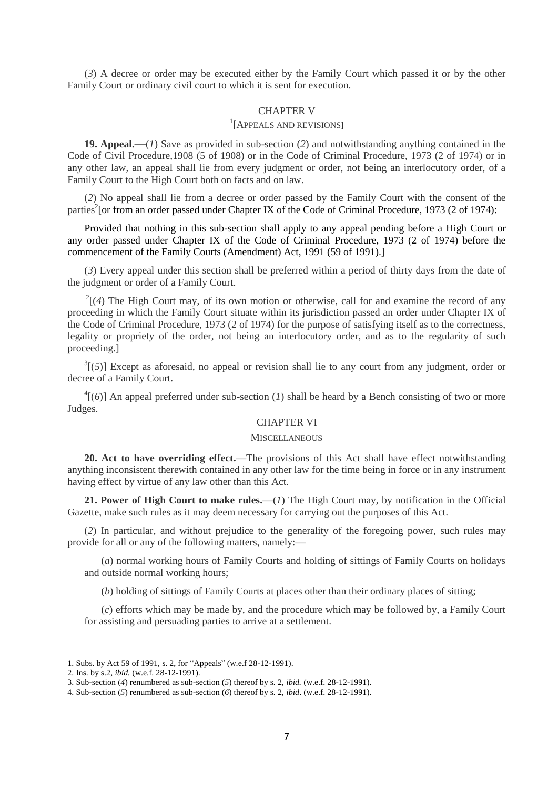(*3*) A decree or order may be executed either by the Family Court which passed it or by the other Family Court or ordinary civil court to which it is sent for execution.

## CHAPTER V

## 1 [APPEALS AND REVISIONS]

**19. Appeal.—**(*1*) Save as provided in sub-section (*2*) and notwithstanding anything contained in the Code of Civil Procedure,1908 (5 of 1908) or in the Code of Criminal Procedure, 1973 (2 of 1974) or in any other law, an appeal shall lie from every judgment or order, not being an interlocutory order, of a Family Court to the High Court both on facts and on law.

(*2*) No appeal shall lie from a decree or order passed by the Family Court with the consent of the parties<sup>2</sup> [or from an order passed under Chapter IX of the Code of Criminal Procedure, 1973 (2 of 1974):

Provided that nothing in this sub-section shall apply to any appeal pending before a High Court or any order passed under Chapter IX of the Code of Criminal Procedure, 1973 (2 of 1974) before the commencement of the Family Courts (Amendment) Act, 1991 (59 of 1991).]

(*3*) Every appeal under this section shall be preferred within a period of thirty days from the date of the judgment or order of a Family Court.

 $2^{2}$ [(4) The High Court may, of its own motion or otherwise, call for and examine the record of any proceeding in which the Family Court situate within its jurisdiction passed an order under Chapter IX of the Code of Criminal Procedure, 1973 (2 of 1974) for the purpose of satisfying itself as to the correctness, legality or propriety of the order, not being an interlocutory order, and as to the regularity of such proceeding.]

 $3(5)$ ] Except as aforesaid, no appeal or revision shall lie to any court from any judgment, order or decree of a Family Court.

 $^{4}$ [(6)] An appeal preferred under sub-section (*1*) shall be heard by a Bench consisting of two or more Judges.

## CHAPTER VI

#### **MISCELLANEOUS**

**20. Act to have overriding effect.—**The provisions of this Act shall have effect notwithstanding anything inconsistent therewith contained in any other law for the time being in force or in any instrument having effect by virtue of any law other than this Act.

**21. Power of High Court to make rules.—**(*1*) The High Court may, by notification in the Official Gazette, make such rules as it may deem necessary for carrying out the purposes of this Act.

(*2*) In particular, and without prejudice to the generality of the foregoing power, such rules may provide for all or any of the following matters, namely:**—**

(*a*) normal working hours of Family Courts and holding of sittings of Family Courts on holidays and outside normal working hours;

(*b*) holding of sittings of Family Courts at places other than their ordinary places of sitting;

(*c*) efforts which may be made by, and the procedure which may be followed by, a Family Court for assisting and persuading parties to arrive at a settlement.

1

<sup>1.</sup> Subs. by Act 59 of 1991, s. 2, for "Appeals" (w.e.f 28-12-1991).

<sup>2.</sup> Ins. by s.2, *ibid.* (w.e.f. 28-12-1991).

<sup>3.</sup> Sub-section (*4*) renumbered as sub-section (*5*) thereof by s. 2, *ibid.* (w.e.f. 28-12-1991).

<sup>4.</sup> Sub-section (*5*) renumbered as sub-section (*6*) thereof by s. 2, *ibid*. (w.e.f. 28-12-1991).